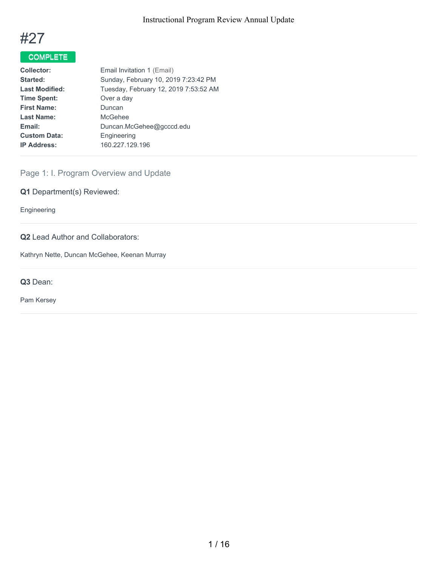

# COMPLETE

| Sunday, February 10, 2019 7:23:42 PM  |
|---------------------------------------|
| Tuesday, February 12, 2019 7:53:52 AM |
|                                       |
|                                       |
|                                       |
|                                       |
|                                       |
|                                       |
|                                       |

# Page 1: I. Program Overview and Update

**Q1** Department(s) Reviewed:

Engineering

# **Q2** Lead Author and Collaborators:

Kathryn Nette, Duncan McGehee, Keenan Murray

**Q3** Dean:

Pam Kersey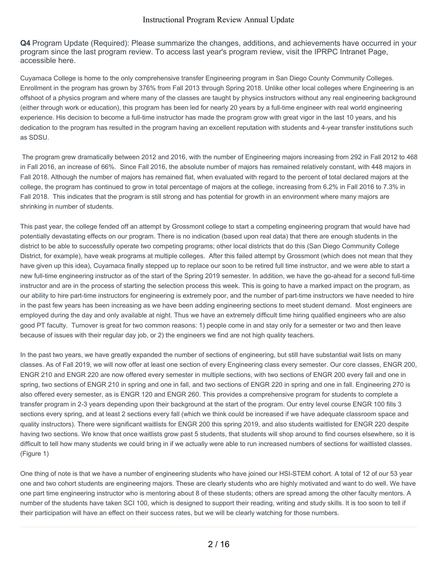**Q4** Program Update (Required): Please summarize the changes, additions, and achievements have occurred in your program since the last program review. To access last year's program review, visit the IPRPC Intranet Page, accessible here.

Cuyamaca College is home to the only comprehensive transfer Engineering program in San Diego County Community Colleges. Enrollment in the program has grown by 376% from Fall 2013 through Spring 2018. Unlike other local colleges where Engineering is an offshoot of a physics program and where many of the classes are taught by physics instructors without any real engineering background (either through work or education), this program has been led for nearly 20 years by a full-time engineer with real world engineering experience. His decision to become a full-time instructor has made the program grow with great vigor in the last 10 years, and his dedication to the program has resulted in the program having an excellent reputation with students and 4-year transfer institutions such as SDSU.

The program grew dramatically between 2012 and 2016, with the number of Engineering majors increasing from 292 in Fall 2012 to 468 in Fall 2016, an increase of 66%. Since Fall 2016, the absolute number of majors has remained relatively constant, with 448 majors in Fall 2018. Although the number of majors has remained flat, when evaluated with regard to the percent of total declared majors at the college, the program has continued to grow in total percentage of majors at the college, increasing from 6.2% in Fall 2016 to 7.3% in Fall 2018. This indicates that the program is still strong and has potential for growth in an environment where many majors are shrinking in number of students.

This past year, the college fended off an attempt by Grossmont college to start a competing engineering program that would have had potentially devastating effects on our program. There is no indication (based upon real data) that there are enough students in the district to be able to successfully operate two competing programs; other local districts that do this (San Diego Community College District, for example), have weak programs at multiple colleges. After this failed attempt by Grossmont (which does not mean that they have given up this idea), Cuyamaca finally stepped up to replace our soon to be retired full time instructor, and we were able to start a new full-time engineering instructor as of the start of the Spring 2019 semester. In addition, we have the go-ahead for a second full-time instructor and are in the process of starting the selection process this week. This is going to have a marked impact on the program, as our ability to hire part-time instructors for engineering is extremely poor, and the number of part-time instructors we have needed to hire in the past few years has been increasing as we have been adding engineering sections to meet student demand. Most engineers are employed during the day and only available at night. Thus we have an extremely difficult time hiring qualified engineers who are also good PT faculty. Turnover is great for two common reasons: 1) people come in and stay only for a semester or two and then leave because of issues with their regular day job, or 2) the engineers we find are not high quality teachers.

In the past two years, we have greatly expanded the number of sections of engineering, but still have substantial wait lists on many classes. As of Fall 2019, we will now offer at least one section of every Engineering class every semester. Our core classes, ENGR 200, ENGR 210 and ENGR 220 are now offered every semester in multiple sections, with two sections of ENGR 200 every fall and one in spring, two sections of ENGR 210 in spring and one in fall, and two sections of ENGR 220 in spring and one in fall. Engineering 270 is also offered every semester, as is ENGR 120 and ENGR 260. This provides a comprehensive program for students to complete a transfer program in 2-3 years depending upon their background at the start of the program. Our entry level course ENGR 100 fills 3 sections every spring, and at least 2 sections every fall (which we think could be increased if we have adequate classroom space and quality instructors). There were significant waitlists for ENGR 200 this spring 2019, and also students waitlisted for ENGR 220 despite having two sections. We know that once waitlists grow past 5 students, that students will shop around to find courses elsewhere, so it is difficult to tell how many students we could bring in if we actually were able to run increased numbers of sections for waitlisted classes. (Figure 1)

One thing of note is that we have a number of engineering students who have joined our HSI-STEM cohort. A total of 12 of our 53 year one and two cohort students are engineering majors. These are clearly students who are highly motivated and want to do well. We have one part time engineering instructor who is mentoring about 8 of these students; others are spread among the other faculty mentors. A number of the students have taken SCI 100, which is designed to support their reading, writing and study skills. It is too soon to tell if their participation will have an effect on their success rates, but we will be clearly watching for those numbers.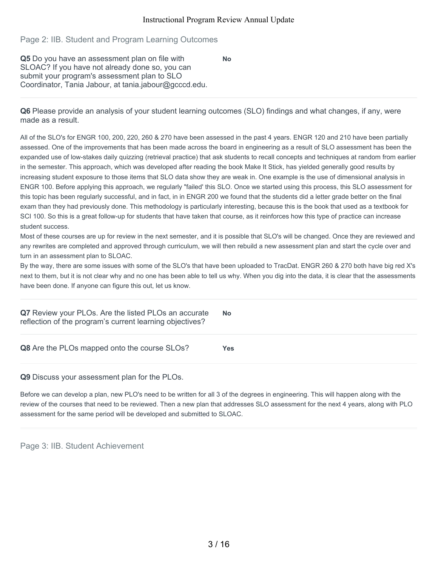**No**

# Page 2: IIB. Student and Program Learning Outcomes

**Q5** Do you have an assessment plan on file with SLOAC? If you have not already done so, you can submit your program's assessment plan to SLO Coordinator, Tania Jabour, at tania.jabour@gcccd.edu.

**Q6** Please provide an analysis of your student learning outcomes (SLO) findings and what changes, if any, were made as a result.

All of the SLO's for ENGR 100, 200, 220, 260 & 270 have been assessed in the past 4 years. ENGR 120 and 210 have been partially assessed. One of the improvements that has been made across the board in engineering as a result of SLO assessment has been the expanded use of low-stakes daily quizzing (retrieval practice) that ask students to recall concepts and techniques at random from earlier in the semester. This approach, which was developed after reading the book Make It Stick, has yielded generally good results by increasing student exposure to those items that SLO data show they are weak in. One example is the use of dimensional analysis in ENGR 100. Before applying this approach, we regularly "failed' this SLO. Once we started using this process, this SLO assessment for this topic has been regularly successful, and in fact, in in ENGR 200 we found that the students did a letter grade better on the final exam than they had previously done. This methodology is particularly interesting, because this is the book that used as a textbook for SCI 100. So this is a great follow-up for students that have taken that course, as it reinforces how this type of practice can increase student success.

Most of these courses are up for review in the next semester, and it is possible that SLO's will be changed. Once they are reviewed and any rewrites are completed and approved through curriculum, we will then rebuild a new assessment plan and start the cycle over and turn in an assessment plan to SLOAC.

By the way, there are some issues with some of the SLO's that have been uploaded to TracDat. ENGR 260 & 270 both have big red X's next to them, but it is not clear why and no one has been able to tell us why. When you dig into the data, it is clear that the assessments have been done. If anyone can figure this out, let us know.

| Q7 Review your PLOs. Are the listed PLOs an accurate<br>reflection of the program's current learning objectives? | No  |
|------------------------------------------------------------------------------------------------------------------|-----|
| Q8 Are the PLOs mapped onto the course SLOs?                                                                     | Yes |

#### **Q9** Discuss your assessment plan for the PLOs.

Before we can develop a plan, new PLO's need to be written for all 3 of the degrees in engineering. This will happen along with the review of the courses that need to be reviewed. Then a new plan that addresses SLO assessment for the next 4 years, along with PLO assessment for the same period will be developed and submitted to SLOAC.

Page 3: IIB. Student Achievement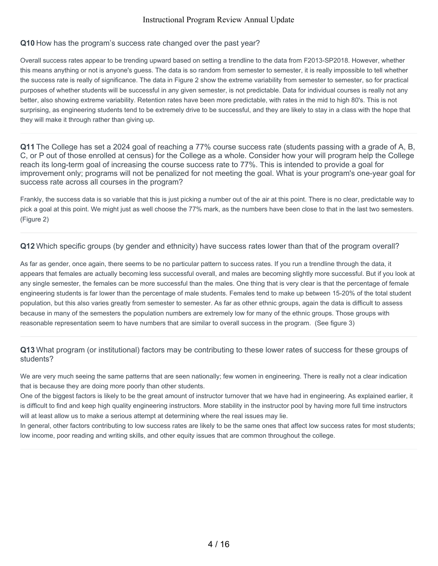#### **Q10** How has the program's success rate changed over the past year?

Overall success rates appear to be trending upward based on setting a trendline to the data from F2013-SP2018. However, whether this means anything or not is anyone's guess. The data is so random from semester to semester, it is really impossible to tell whether the success rate is really of significance. The data in Figure 2 show the extreme variability from semester to semester, so for practical purposes of whether students will be successful in any given semester, is not predictable. Data for individual courses is really not any better, also showing extreme variability. Retention rates have been more predictable, with rates in the mid to high 80's. This is not surprising, as engineering students tend to be extremely drive to be successful, and they are likely to stay in a class with the hope that they will make it through rather than giving up.

**Q11** The College has set a 2024 goal of reaching a 77% course success rate (students passing with a grade of A, B, C, or P out of those enrolled at census) for the College as a whole. Consider how your will program help the College reach its long-term goal of increasing the course success rate to 77%. This is intended to provide a goal for improvement only; programs will not be penalized for not meeting the goal. What is your program's one-year goal for success rate across all courses in the program?

Frankly, the success data is so variable that this is just picking a number out of the air at this point. There is no clear, predictable way to pick a goal at this point. We might just as well choose the 77% mark, as the numbers have been close to that in the last two semesters. (Figure 2)

#### **Q12** Which specific groups (by gender and ethnicity) have success rates lower than that of the program overall?

As far as gender, once again, there seems to be no particular pattern to success rates. If you run a trendline through the data, it appears that females are actually becoming less successful overall, and males are becoming slightly more successful. But if you look at any single semester, the females can be more successful than the males. One thing that is very clear is that the percentage of female engineering students is far lower than the percentage of male students. Females tend to make up between 15-20% of the total student population, but this also varies greatly from semester to semester. As far as other ethnic groups, again the data is difficult to assess because in many of the semesters the population numbers are extremely low for many of the ethnic groups. Those groups with reasonable representation seem to have numbers that are similar to overall success in the program. (See figure 3)

# **Q13** What program (or institutional) factors may be contributing to these lower rates of success for these groups of students?

We are very much seeing the same patterns that are seen nationally; few women in engineering. There is really not a clear indication that is because they are doing more poorly than other students.

One of the biggest factors is likely to be the great amount of instructor turnover that we have had in engineering. As explained earlier, it is difficult to find and keep high quality engineering instructors. More stability in the instructor pool by having more full time instructors will at least allow us to make a serious attempt at determining where the real issues may lie.

In general, other factors contributing to low success rates are likely to be the same ones that affect low success rates for most students; low income, poor reading and writing skills, and other equity issues that are common throughout the college.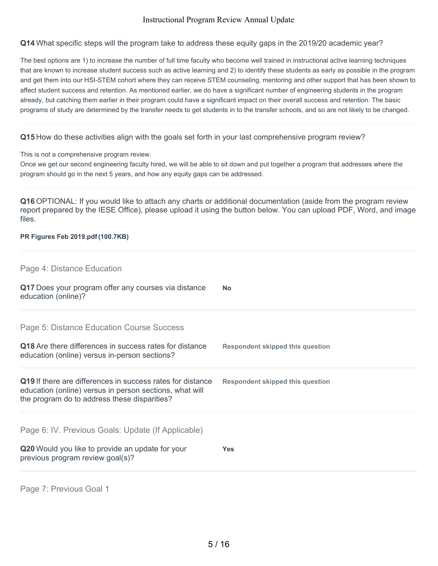**Q14** What specific steps will the program take to address these equity gaps in the 2019/20 academic year?

The best options are 1) to increase the number of full time faculty who become well trained in instructional active learning techniques that are known to increase student success such as active learning and 2) to identify these students as early as possible in the program and get them into our HSI-STEM cohort where they can receive STEM counseling, mentoring and other support that has been shown to affect student success and retention. As mentioned earlier, we do have a significant number of engineering students in the program already, but catching them earlier in their program could have a significant impact on their overall success and retention. The basic programs of study are determined by the transfer needs to get students in to the transfer schools, and so are not likely to be changed.

### **Q15** How do these activities align with the goals set forth in your last comprehensive program review?

This is not a comprehensive program review.

Once we get our second engineering faculty hired, we will be able to sit down and put together a program that addresses where the program should go in the next 5 years, and how any equity gaps can be addressed.

**Q16** OPTIONAL: If you would like to attach any charts or additional documentation (aside from the program review report prepared by the IESE Office), please upload it using the button below. You can upload PDF, Word, and image files.

#### **PR Figures Feb 2019.pdf (100.7KB)**

| Q20 Would you like to provide an update for your<br>previous program review goal(s)?                                                                                  | <b>Yes</b>                              |
|-----------------------------------------------------------------------------------------------------------------------------------------------------------------------|-----------------------------------------|
| Page 6: IV. Previous Goals: Update (If Applicable)                                                                                                                    |                                         |
| Q19 If there are differences in success rates for distance<br>education (online) versus in person sections, what will<br>the program do to address these disparities? | <b>Respondent skipped this question</b> |
| Q18 Are there differences in success rates for distance<br>education (online) versus in-person sections?                                                              | <b>Respondent skipped this question</b> |
| Page 5: Distance Education Course Success                                                                                                                             |                                         |
| Q17 Does your program offer any courses via distance<br>education (online)?                                                                                           | No                                      |
| Page 4: Distance Education                                                                                                                                            |                                         |

Page 7: Previous Goal 1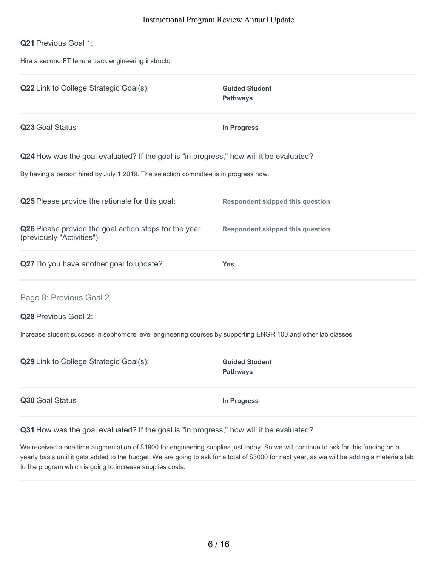#### **Q21** Previous Goal 1:

Hire a second FT tenure track engineering instructor

| Q22 Link to College Strategic Goal(s):                                                                                                                                          | <b>Guided Student</b><br><b>Pathways</b> |
|---------------------------------------------------------------------------------------------------------------------------------------------------------------------------------|------------------------------------------|
| Q23 Goal Status                                                                                                                                                                 | <b>In Progress</b>                       |
| Q24 How was the goal evaluated? If the goal is "in progress," how will it be evaluated?<br>By having a person hired by July 1 2019. The selection committee is in progress now. |                                          |
| Q25 Please provide the rationale for this goal:                                                                                                                                 | <b>Respondent skipped this question</b>  |
| Q26 Please provide the goal action steps for the year<br>(previously "Activities"):                                                                                             | <b>Respondent skipped this question</b>  |
| Q27 Do you have another goal to update?                                                                                                                                         | <b>Yes</b>                               |
| Page 8: Previous Goal 2<br>Q28 Previous Goal 2:<br>Increase student success in sophomore level engineering courses by supporting ENGR 100 and other lab classes                 |                                          |
| Q29 Link to College Strategic Goal(s):                                                                                                                                          | <b>Guided Student</b><br><b>Pathways</b> |
| Q30 Goal Status                                                                                                                                                                 | In Progress                              |

**Q31** How was the goal evaluated? If the goal is "in progress," how will it be evaluated?

We received a one time augmentation of \$1900 for engineering supplies just today. So we will continue to ask for this funding on a yearly basis until it gets added to the budget. We are going to ask for a total of \$3000 for next year, as we will be adding a materials lab to the program which is going to increase supplies costs.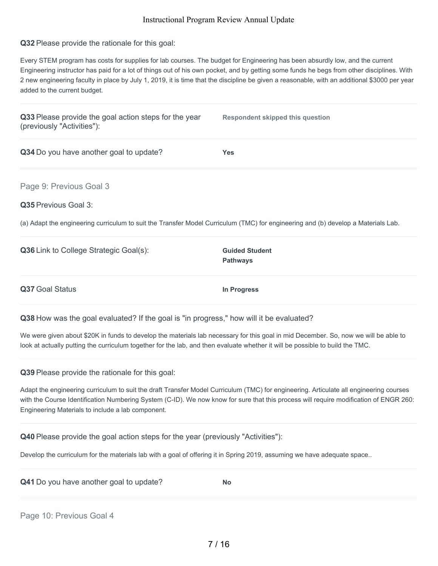**Q32** Please provide the rationale for this goal:

Every STEM program has costs for supplies for lab courses. The budget for Engineering has been absurdly low, and the current Engineering instructor has paid for a lot of things out of his own pocket, and by getting some funds he begs from other disciplines. With 2 new engineering faculty in place by July 1, 2019, it is time that the discipline be given a reasonable, with an additional \$3000 per year added to the current budget.

| Q33 Please provide the goal action steps for the year<br>(previously "Activities"):                                               | <b>Respondent skipped this question</b>  |
|-----------------------------------------------------------------------------------------------------------------------------------|------------------------------------------|
| Q34 Do you have another goal to update?                                                                                           | <b>Yes</b>                               |
| Page 9: Previous Goal 3                                                                                                           |                                          |
| Q35 Previous Goal 3:                                                                                                              |                                          |
| (a) Adapt the engineering curriculum to suit the Transfer Model Curriculum (TMC) for engineering and (b) develop a Materials Lab. |                                          |
| Q36 Link to College Strategic Goal(s):                                                                                            | <b>Guided Student</b><br><b>Pathways</b> |
| Q37 Goal Status                                                                                                                   | In Progress                              |
| Q38 How was the goal evaluated? If the goal is "in progress," how will it be evaluated?                                           |                                          |

We were given about \$20K in funds to develop the materials lab necessary for this goal in mid December. So, now we will be able to look at actually putting the curriculum together for the lab, and then evaluate whether it will be possible to build the TMC.

**Q39** Please provide the rationale for this goal:

Adapt the engineering curriculum to suit the draft Transfer Model Curriculum (TMC) for engineering. Articulate all engineering courses with the Course Identification Numbering System (C-ID). We now know for sure that this process will require modification of ENGR 260: Engineering Materials to include a lab component.

**Q40** Please provide the goal action steps for the year (previously "Activities"):

Develop the curriculum for the materials lab with a goal of offering it in Spring 2019, assuming we have adequate space..

| Q41 Do you have another goal to update? | <b>No</b> |
|-----------------------------------------|-----------|
|-----------------------------------------|-----------|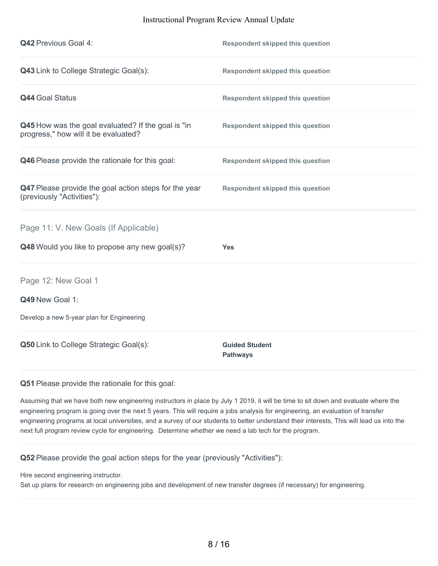| <b>Q42 Previous Goal 4:</b>                                                                | <b>Respondent skipped this question</b>  |
|--------------------------------------------------------------------------------------------|------------------------------------------|
| Q43 Link to College Strategic Goal(s):                                                     | <b>Respondent skipped this question</b>  |
| <b>Q44 Goal Status</b>                                                                     | <b>Respondent skipped this question</b>  |
| Q45 How was the goal evaluated? If the goal is "in<br>progress," how will it be evaluated? | <b>Respondent skipped this question</b>  |
| Q46 Please provide the rationale for this goal:                                            | <b>Respondent skipped this question</b>  |
| Q47 Please provide the goal action steps for the year<br>(previously "Activities"):        | <b>Respondent skipped this question</b>  |
| Page 11: V. New Goals (If Applicable)                                                      |                                          |
| Q48 Would you like to propose any new goal(s)?                                             | <b>Yes</b>                               |
| Page 12: New Goal 1                                                                        |                                          |
| Q49 New Goal 1:                                                                            |                                          |
| Develop a new 5-year plan for Engineering                                                  |                                          |
| Q50 Link to College Strategic Goal(s):                                                     | <b>Guided Student</b><br><b>Pathways</b> |

**Q51** Please provide the rationale for this goal:

Assuming that we have both new engineering instructors in place by July 1 2019, it will be time to sit down and evaluate where the engineering program is going over the next 5 years. This will require a jobs analysis for engineering, an evaluation of transfer engineering programs at local universities, and a survey of our students to better understand their interests, This will lead us into the next full program review cycle for engineering. Determine whether we need a lab tech for the program.

**Q52** Please provide the goal action steps for the year (previously "Activities"):

Hire second engineering instructor.

Set up plans for research on engineering jobs and development of new transfer degrees (if necessary) for engineering.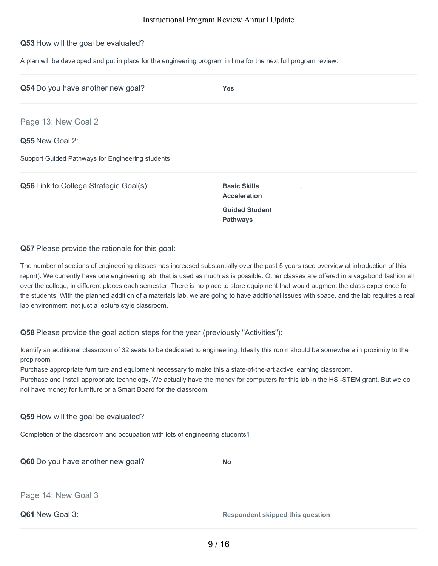#### **Q53** How will the goal be evaluated?

A plan will be developed and put in place for the engineering program in time for the next full program review.

| Q54 Do you have another new goal?                | <b>Yes</b>                                      |  |
|--------------------------------------------------|-------------------------------------------------|--|
| Page 13: New Goal 2                              |                                                 |  |
| Q55 New Goal 2:                                  |                                                 |  |
| Support Guided Pathways for Engineering students |                                                 |  |
| Q56 Link to College Strategic Goal(s):           | <b>Basic Skills</b><br>٠<br><b>Acceleration</b> |  |
|                                                  | <b>Guided Student</b><br><b>Pathways</b>        |  |
|                                                  |                                                 |  |

**Q57** Please provide the rationale for this goal:

The number of sections of engineering classes has increased substantially over the past 5 years (see overview at introduction of this report). We currently have one engineering lab, that is used as much as is possible. Other classes are offered in a vagabond fashion all over the college, in different places each semester. There is no place to store equipment that would augment the class experience for the students. With the planned addition of a materials lab, we are going to have additional issues with space, and the lab requires a real lab environment, not just a lecture style classroom.

**Q58** Please provide the goal action steps for the year (previously "Activities"):

Identify an additional classroom of 32 seats to be dedicated to engineering. Ideally this room should be somewhere in proximity to the prep room

Purchase appropriate furniture and equipment necessary to make this a state-of-the-art active learning classroom.

Purchase and install appropriate technology. We actually have the money for computers for this lab in the HSI-STEM grant. But we do not have money for furniture or a Smart Board for the classroom.

**Q59** How will the goal be evaluated?

Completion of the classroom and occupation with lots of engineering students1

| Q60 Do you have another new goal? | <b>No</b>                               |
|-----------------------------------|-----------------------------------------|
| Page 14: New Goal 3               |                                         |
| Q61 New Goal 3:                   | <b>Respondent skipped this question</b> |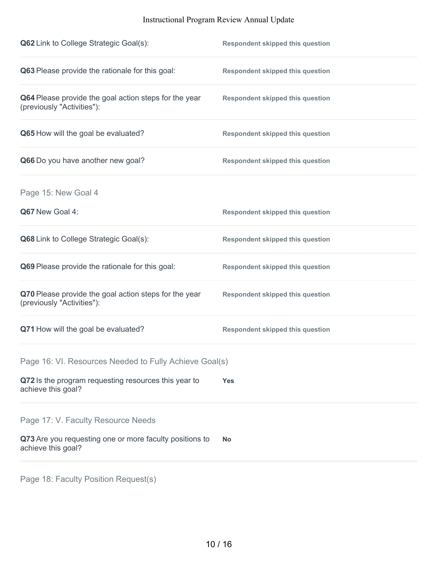| Q62 Link to College Strategic Goal(s):                                              | <b>Respondent skipped this question</b> |
|-------------------------------------------------------------------------------------|-----------------------------------------|
| Q63 Please provide the rationale for this goal:                                     | <b>Respondent skipped this question</b> |
| Q64 Please provide the goal action steps for the year<br>(previously "Activities"): | <b>Respondent skipped this question</b> |
| Q65 How will the goal be evaluated?                                                 | <b>Respondent skipped this question</b> |
| Q66 Do you have another new goal?                                                   | <b>Respondent skipped this question</b> |
| Page 15: New Goal 4                                                                 |                                         |
| Q67 New Goal 4:                                                                     | <b>Respondent skipped this question</b> |
| Q68 Link to College Strategic Goal(s):                                              | <b>Respondent skipped this question</b> |
| Q69 Please provide the rationale for this goal:                                     | <b>Respondent skipped this question</b> |
| Q70 Please provide the goal action steps for the year<br>(previously "Activities"): | <b>Respondent skipped this question</b> |
| Q71 How will the goal be evaluated?                                                 | <b>Respondent skipped this question</b> |
| Page 16: VI. Resources Needed to Fully Achieve Goal(s)                              |                                         |
| Q72 Is the program requesting resources this year to<br>achieve this goal?          | <b>Yes</b>                              |
| Page 17: V. Faculty Resource Needs                                                  |                                         |
| Q73 Are you requesting one or more faculty positions to<br>achieve this goal?       | <b>No</b>                               |
|                                                                                     |                                         |

Page 18: Faculty Position Request(s)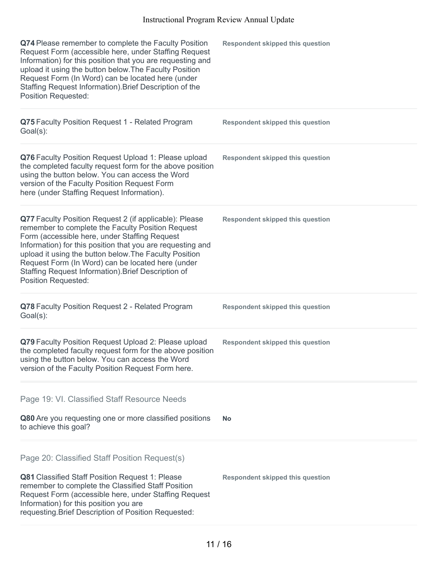| Q74 Please remember to complete the Faculty Position<br>Request Form (accessible here, under Staffing Request<br>Information) for this position that you are requesting and<br>upload it using the button below. The Faculty Position<br>Request Form (In Word) can be located here (under<br>Staffing Request Information). Brief Description of the<br><b>Position Requested:</b>                                            | <b>Respondent skipped this question</b> |
|--------------------------------------------------------------------------------------------------------------------------------------------------------------------------------------------------------------------------------------------------------------------------------------------------------------------------------------------------------------------------------------------------------------------------------|-----------------------------------------|
| Q75 Faculty Position Request 1 - Related Program<br>Goal(s):                                                                                                                                                                                                                                                                                                                                                                   | <b>Respondent skipped this question</b> |
| Q76 Faculty Position Request Upload 1: Please upload<br>the completed faculty request form for the above position<br>using the button below. You can access the Word<br>version of the Faculty Position Request Form<br>here (under Staffing Request Information).                                                                                                                                                             | <b>Respondent skipped this question</b> |
| Q77 Faculty Position Request 2 (if applicable): Please<br>remember to complete the Faculty Position Request<br>Form (accessible here, under Staffing Request<br>Information) for this position that you are requesting and<br>upload it using the button below. The Faculty Position<br>Request Form (In Word) can be located here (under<br>Staffing Request Information). Brief Description of<br><b>Position Requested:</b> | <b>Respondent skipped this question</b> |
| Q78 Faculty Position Request 2 - Related Program<br>Goal(s):                                                                                                                                                                                                                                                                                                                                                                   | <b>Respondent skipped this question</b> |
| Q79 Faculty Position Request Upload 2: Please upload<br>the completed faculty request form for the above position<br>using the button below. You can access the Word<br>version of the Faculty Position Request Form here.                                                                                                                                                                                                     | <b>Respondent skipped this question</b> |
| Page 19: VI. Classified Staff Resource Needs                                                                                                                                                                                                                                                                                                                                                                                   |                                         |
| Q80 Are you requesting one or more classified positions<br>to achieve this goal?                                                                                                                                                                                                                                                                                                                                               | <b>No</b>                               |
| Page 20: Classified Staff Position Request(s)<br>Q81 Classified Staff Position Request 1: Please<br>remember to complete the Classified Staff Position<br>Request Form (accessible here, under Staffing Request<br>Information) for this position you are<br>requesting. Brief Description of Position Requested:                                                                                                              | <b>Respondent skipped this question</b> |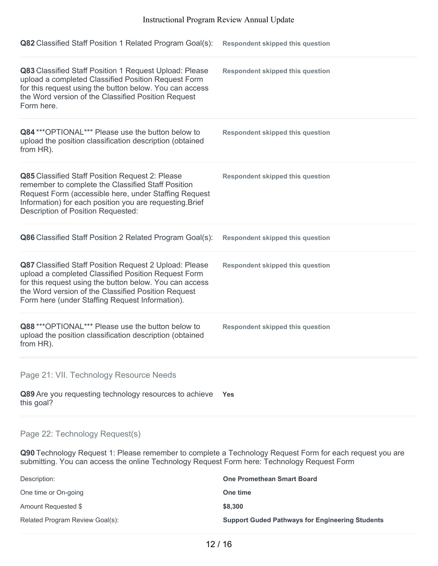| Q82 Classified Staff Position 1 Related Program Goal(s):                                                                                                                                                                                                                           | <b>Respondent skipped this question</b> |
|------------------------------------------------------------------------------------------------------------------------------------------------------------------------------------------------------------------------------------------------------------------------------------|-----------------------------------------|
| Q83 Classified Staff Position 1 Request Upload: Please<br>upload a completed Classified Position Request Form<br>for this request using the button below. You can access<br>the Word version of the Classified Position Request<br>Form here.                                      | <b>Respondent skipped this question</b> |
| Q84 *** OPTIONAL*** Please use the button below to<br>upload the position classification description (obtained<br>from HR).                                                                                                                                                        | <b>Respondent skipped this question</b> |
| Q85 Classified Staff Position Request 2: Please<br>remember to complete the Classified Staff Position<br>Request Form (accessible here, under Staffing Request<br>Information) for each position you are requesting. Brief<br>Description of Position Requested:                   | <b>Respondent skipped this question</b> |
| Q86 Classified Staff Position 2 Related Program Goal(s):                                                                                                                                                                                                                           | <b>Respondent skipped this question</b> |
| Q87 Classified Staff Position Request 2 Upload: Please<br>upload a completed Classified Position Request Form<br>for this request using the button below. You can access<br>the Word version of the Classified Position Request<br>Form here (under Staffing Request Information). | <b>Respondent skipped this question</b> |
| Q88 *** OPTIONAL*** Please use the button below to<br>upload the position classification description (obtained<br>from HR).                                                                                                                                                        | <b>Respondent skipped this question</b> |
| Page 21: VII. Technology Resource Needs                                                                                                                                                                                                                                            |                                         |
| Q89 Are you requesting technology resources to achieve<br>this goal?                                                                                                                                                                                                               | <b>Yes</b>                              |
| Page 22: Technology Request(s)                                                                                                                                                                                                                                                     |                                         |
| Q90 Technology Request 1: Please remember to complete a Technology Request Form for each request you are<br>submitting. You can access the online Technology Request Form here: Technology Request Form                                                                            |                                         |

| <b>One Promethean Smart Board</b>                      |
|--------------------------------------------------------|
| One time                                               |
| \$8,300                                                |
| <b>Support Guded Pathways for Engineering Students</b> |
|                                                        |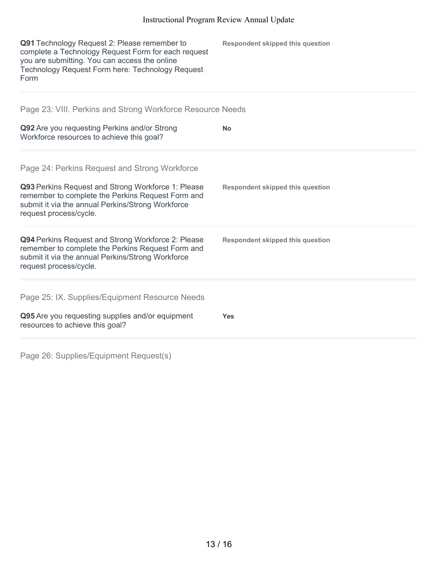| Q91 Technology Request 2: Please remember to<br>complete a Technology Request Form for each request<br>you are submitting. You can access the online<br>Technology Request Form here: Technology Request<br>Form | <b>Respondent skipped this question</b> |
|------------------------------------------------------------------------------------------------------------------------------------------------------------------------------------------------------------------|-----------------------------------------|
| Page 23: VIII. Perkins and Strong Workforce Resource Needs                                                                                                                                                       |                                         |
| Q92 Are you requesting Perkins and/or Strong<br>Workforce resources to achieve this goal?                                                                                                                        | <b>No</b>                               |
| Page 24: Perkins Request and Strong Workforce                                                                                                                                                                    |                                         |
| Q93 Perkins Request and Strong Workforce 1: Please<br>remember to complete the Perkins Request Form and<br>submit it via the annual Perkins/Strong Workforce<br>request process/cycle.                           | <b>Respondent skipped this question</b> |
| Q94 Perkins Request and Strong Workforce 2: Please<br>remember to complete the Perkins Request Form and<br>submit it via the annual Perkins/Strong Workforce<br>request process/cycle.                           | <b>Respondent skipped this question</b> |
| Page 25: IX. Supplies/Equipment Resource Needs                                                                                                                                                                   |                                         |
| Q95 Are you requesting supplies and/or equipment<br>resources to achieve this goal?                                                                                                                              | <b>Yes</b>                              |

Page 26: Supplies/Equipment Request(s)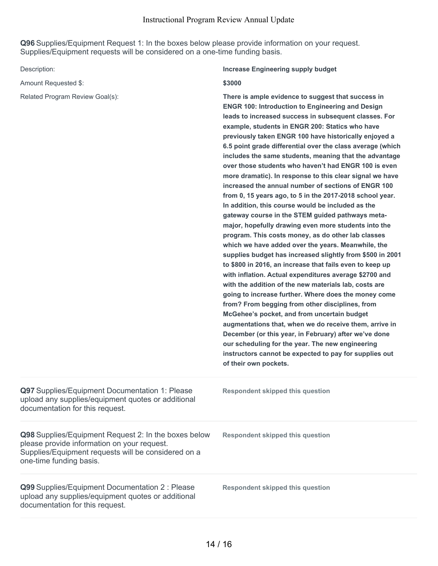**Q96** Supplies/Equipment Request 1: In the boxes below please provide information on your request. Supplies/Equipment requests will be considered on a one-time funding basis.

Amount Requested \$: **\$3000** 

#### Description: **Increase Engineering supply budget**

Related Program Review Goal(s): **There is ample evidence to suggest that success in ENGR 100: Introduction to Engineering and Design leads to increased success in subsequent classes. For example, students in ENGR 200: Statics who have previously taken ENGR 100 have historically enjoyed a 6.5 point grade differential over the class average (which includes the same students, meaning that the advantage over those students who haven't had ENGR 100 is even more dramatic). In response to this clear signal we have increased the annual number of sections of ENGR 100 from 0, 15 years ago, to 5 in the 2017-2018 school year. In addition, this course would be included as the gateway course in the STEM guided pathways metamajor, hopefully drawing even more students into the program. This costs money, as do other lab classes which we have added over the years. Meanwhile, the supplies budget has increased slightly from \$500 in 2001 to \$800 in 2016, an increase that fails even to keep up with inflation. Actual expenditures average \$2700 and with the addition of the new materials lab, costs are going to increase further. Where does the money come from? From begging from other disciplines, from McGehee's pocket, and from uncertain budget augmentations that, when we do receive them, arrive in December (or this year, in February) after we've done our scheduling for the year. The new engineering instructors cannot be expected to pay for supplies out of their own pockets.**

| <b>Q97</b> Supplies/Equipment Documentation 1: Please<br>upload any supplies/equipment quotes or additional<br>documentation for this request.                                        | <b>Respondent skipped this question</b> |
|---------------------------------------------------------------------------------------------------------------------------------------------------------------------------------------|-----------------------------------------|
| Q98 Supplies/Equipment Request 2: In the boxes below<br>please provide information on your request.<br>Supplies/Equipment requests will be considered on a<br>one-time funding basis. | Respondent skipped this question        |
| Q99 Supplies/Equipment Documentation 2 : Please<br>upload any supplies/equipment quotes or additional<br>documentation for this request.                                              | Respondent skipped this question        |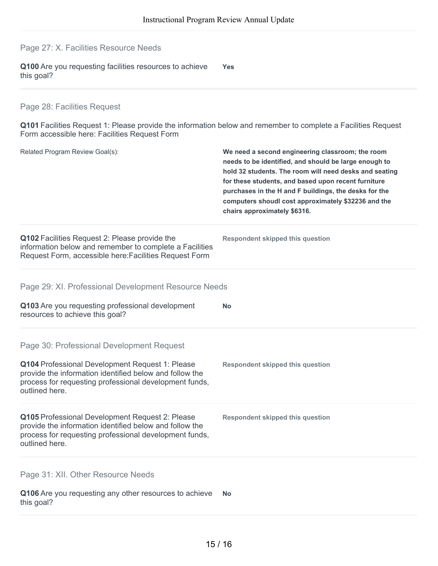Page 27: X. Facilities Resource Needs

**Q100** Are you requesting facilities resources to achieve this goal? **Yes**

# Page 28: Facilities Request

**Q101** Facilities Request 1: Please provide the information below and remember to complete a Facilities Request Form accessible here: Facilities Request Form

| Related Program Review Goal(s):                                                                                                                                                        | We need a second engineering classroom; the room<br>needs to be identified, and should be large enough to<br>hold 32 students. The room will need desks and seating<br>for these students, and based upon recent furniture<br>purchases in the H and F buildings, the desks for the<br>computers shoudl cost approximately \$32236 and the<br>chairs approximately \$6316. |
|----------------------------------------------------------------------------------------------------------------------------------------------------------------------------------------|----------------------------------------------------------------------------------------------------------------------------------------------------------------------------------------------------------------------------------------------------------------------------------------------------------------------------------------------------------------------------|
| Q102 Facilities Request 2: Please provide the<br>information below and remember to complete a Facilities<br>Request Form, accessible here: Facilities Request Form                     | <b>Respondent skipped this question</b>                                                                                                                                                                                                                                                                                                                                    |
| Page 29: XI. Professional Development Resource Needs                                                                                                                                   |                                                                                                                                                                                                                                                                                                                                                                            |
| Q103 Are you requesting professional development<br>resources to achieve this goal?                                                                                                    | No                                                                                                                                                                                                                                                                                                                                                                         |
| Page 30: Professional Development Request                                                                                                                                              |                                                                                                                                                                                                                                                                                                                                                                            |
| Q104 Professional Development Request 1: Please<br>provide the information identified below and follow the<br>process for requesting professional development funds,<br>outlined here. | <b>Respondent skipped this question</b>                                                                                                                                                                                                                                                                                                                                    |
| Q105 Professional Development Request 2: Please<br>provide the information identified below and follow the<br>process for requesting professional development funds,<br>outlined here. | <b>Respondent skipped this question</b>                                                                                                                                                                                                                                                                                                                                    |
| Page 31: XII. Other Resource Needs                                                                                                                                                     |                                                                                                                                                                                                                                                                                                                                                                            |
| Q106 Are you requesting any other resources to achieve<br>this goal?                                                                                                                   | No                                                                                                                                                                                                                                                                                                                                                                         |